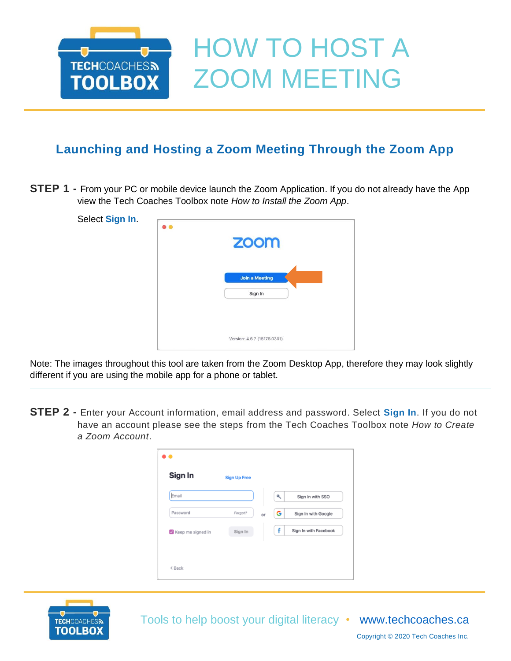

## **Launching and Hosting a Zoom Meeting Through the Zoom App**

**STEP 1 -** From your PC or mobile device launch the Zoom Application. If you do not already have the App view the Tech Coaches Toolbox note *How to Install the Zoom App*.

| Select Sign In. | $\bullet$ $\bullet$         |
|-----------------|-----------------------------|
|                 | <b>ZOOM</b>                 |
|                 | <b>Join a Meeting</b>       |
|                 | Sign In                     |
|                 |                             |
|                 | Version: 4.6.7 (18176.0301) |

Note: The images throughout this tool are taken from the Zoom Desktop App, therefore they may look slightly different if you are using the mobile app for a phone or tablet.

**STEP 2 -** Enter your Account information, email address and password. Select **Sign In**. If you do not have an account please see the steps from the Tech Coaches Toolbox note *How to Create a Zoom Account*.

| Email             |         |    | ۹ | Sign In with SSO      |
|-------------------|---------|----|---|-----------------------|
| Password          | Forgot? | or | G | Sign In with Google   |
| Keep me signed in | Sign In |    | f | Sign In with Facebook |



Tools to help boost your digital literacy • [www.techcoaches.ca](http://www.techcoaches.ca/)

Copyright © 2020 Tech Coaches Inc.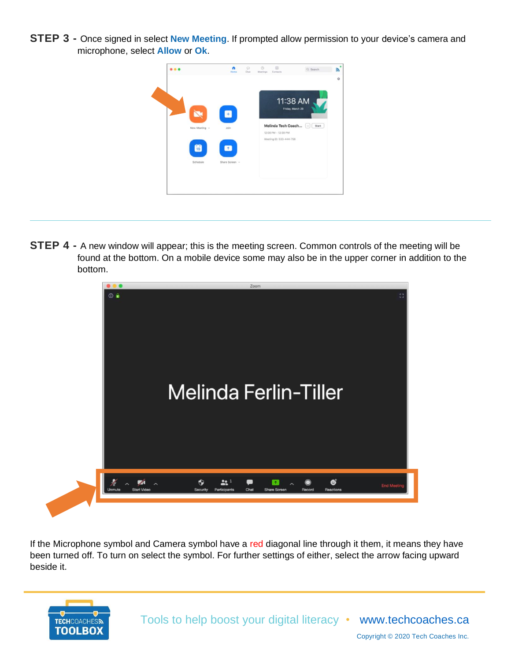**STEP 3 -** Once signed in select **New Meeting**. If prompted allow permission to your device's camera and microphone, select **Allow** or **Ok**.



**STEP 4 -** A new window will appear; this is the meeting screen. Common controls of the meeting will be found at the bottom. On a mobile device some may also be in the upper corner in addition to the bottom.



If the Microphone symbol and Camera symbol have a red diagonal line through it them, it means they have been turned off. To turn on select the symbol. For further settings of either, select the arrow facing upward beside it.

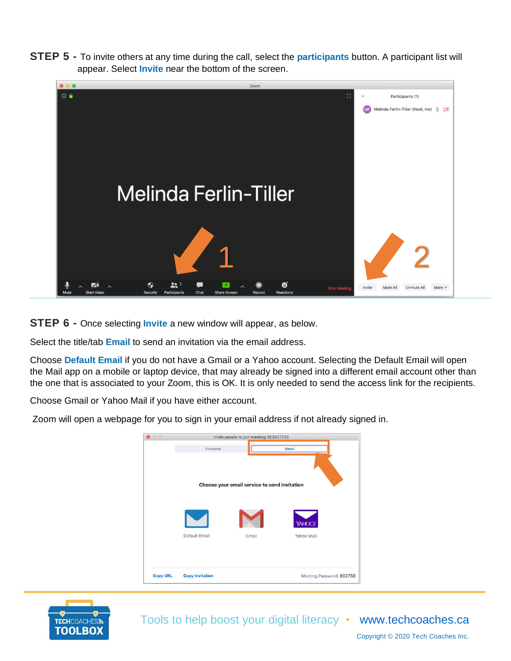**STEP 5 -** To invite others at any time during the call, select the **participants** button. A participant list will appear. Select **Invite** near the bottom of the screen.



**STEP 6 -** Once selecting **Invite** a new window will appear, as below.

Select the title/tab **Email** to send an invitation via the email address.

Choose **Default Email** if you do not have a Gmail or a Yahoo account. Selecting the Default Email will open the Mail app on a mobile or laptop device, that may already be signed into a different email account other than the one that is associated to your Zoom, this is OK. It is only needed to send the access link for the recipients.

Choose Gmail or Yahoo Mail if you have either account.

Zoom will open a webpage for you to sign in your email address if not already signed in.

| 00              |                        | Invite people to join meeting 353837726      |                          |
|-----------------|------------------------|----------------------------------------------|--------------------------|
|                 | Contacts               |                                              | Email                    |
|                 |                        | Choose your email service to send invitation |                          |
|                 | Default Email          | Gmail                                        | YAHOO!<br>Yahoo Mail     |
| <b>Copy URL</b> | <b>Copy Invitation</b> |                                              | Meeting Password: 902733 |



Tools to help boost your digital literacy • [www.techcoaches.ca](http://www.techcoaches.ca/)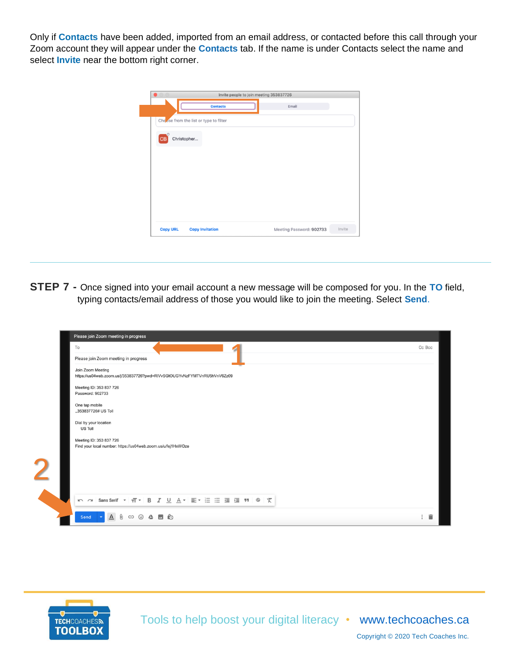Only if **Contacts** have been added, imported from an email address, or contacted before this call through your Zoom account they will appear under the **Contacts** tab. If the name is under Contacts select the name and select **Invite** near the bottom right corner.

| $\bullet$ 00 |                                        | Invite people to join meeting 353837726 |  |
|--------------|----------------------------------------|-----------------------------------------|--|
|              | <b>Contacts</b>                        | Email                                   |  |
|              | Choose from the list or type to filter |                                         |  |
| <b>CB</b>    | Christopher                            |                                         |  |
|              |                                        |                                         |  |
|              |                                        |                                         |  |
|              |                                        |                                         |  |
|              |                                        |                                         |  |
|              |                                        |                                         |  |
|              |                                        |                                         |  |

**STEP 7 -** Once signed into your email account a new message will be composed for you. In the **TO** field, typing contacts/email address of those you would like to join the meeting. Select **Send**.

| Please join Zoom meeting in progress                                                                                                                                                                                                                                                                  |        |
|-------------------------------------------------------------------------------------------------------------------------------------------------------------------------------------------------------------------------------------------------------------------------------------------------------|--------|
| To                                                                                                                                                                                                                                                                                                    | Cc Bcc |
| Please join Zoom meeting in progress                                                                                                                                                                                                                                                                  |        |
| Join Zoom Meeting<br>https://us04web.zoom.us/j/353837726?pwd=RIVvSGtOUGYvNzFYMTVnRU5hVnV6Zz09                                                                                                                                                                                                         |        |
| Meeting ID: 353 837 726<br>Password: 902733                                                                                                                                                                                                                                                           |        |
| One tap mobile<br>.,353837726# US Toll                                                                                                                                                                                                                                                                |        |
| Dial by your location<br><b>US Toll</b>                                                                                                                                                                                                                                                               |        |
| Meeting ID: 353 837 726<br>Find your local number: https://us04web.zoom.us/u/fej1HxWOze                                                                                                                                                                                                               |        |
|                                                                                                                                                                                                                                                                                                       |        |
| $\mathbf 2$                                                                                                                                                                                                                                                                                           |        |
|                                                                                                                                                                                                                                                                                                       |        |
|                                                                                                                                                                                                                                                                                                       |        |
| $\underline{\begin{array}{c} \mathbf{A} \\ \mathbf{B} \end{array}} \begin{array}{c} \mathbf{B} \\ \mathbf{C} \end{array} \begin{array}{c} \mathbf{C} \\ \mathbf{D} \end{array} \begin{array}{c} \mathbf{D} \\ \mathbf{D} \end{array} \begin{array}{c} \mathbf{D} \\ \mathbf{D} \end{array}$<br>Send - | - 盲    |



Tools to help boost your digital literacy • [www.techcoaches.ca](http://www.techcoaches.ca/)

Copyright © 2020 Tech Coaches Inc.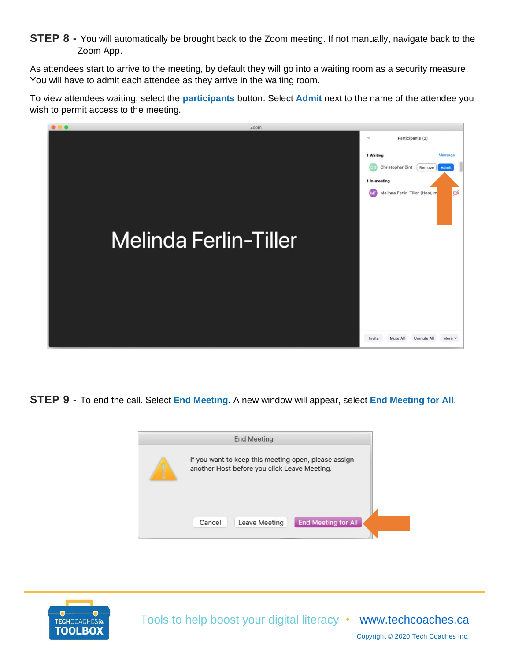## **STEP 8** - You will automatically be brought back to the Zoom meeting. If not manually, navigate back to the Zoom App.

As attendees start to arrive to the meeting, by default they will go into a waiting room as a security measure. You will have to admit each attendee as they arrive in the waiting room.

To view attendees waiting, select the **participants** button. Select **Admit** next to the name of the attendee you wish to permit access to the meeting.



**STEP 9 -** To end the call. Select **End Meeting.** A new window will appear, select **End Meeting for All**.





Tools to help boost your digital literacy • [www.techcoaches.ca](http://www.techcoaches.ca/)

Copyright © 2020 Tech Coaches Inc.